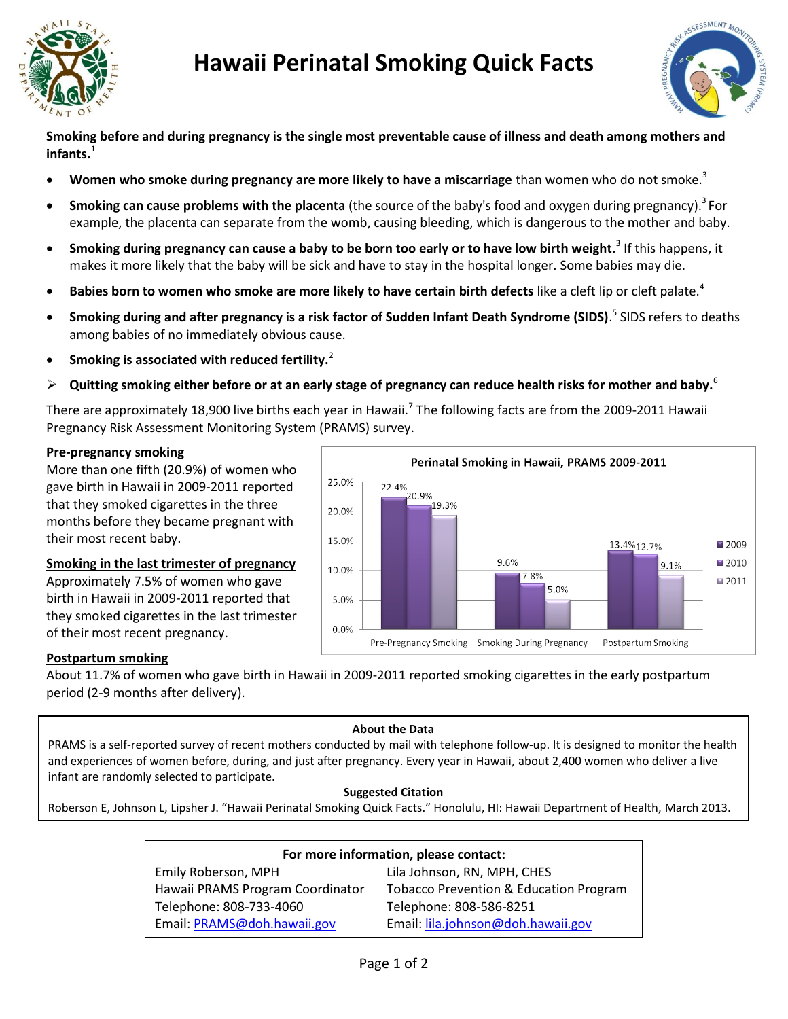

# **Hawaii Perinatal Smoking Quick Facts**



**Smoking before and during pregnancy is the single most preventable cause of illness and death among mothers and infants.**<sup>1</sup>

- **Women who smoke during pregnancy are more likely to have a miscarriage** than women who do not smoke.<sup>3</sup>
- **Smoking can cause problems with the placenta** (the source of the baby's food and oxygen during pregnancy). 3 For example, the placenta can separate from the womb, causing bleeding, which is dangerous to the mother and baby.
- **Smoking during pregnancy can cause a baby to be born too early or to have low birth weight.**<sup>3</sup> If this happens, it makes it more likely that the baby will be sick and have to stay in the hospital longer. Some babies may die.
- **Babies born to women who smoke are more likely to have certain birth defects** like a cleft lip or cleft palate.<sup>4</sup>
- **Smoking during and after pregnancy is a risk factor of Sudden Infant Death Syndrome (SIDS)**. 5 SIDS refers to deaths among babies of no immediately obvious cause.
- **•** Smoking is associated with reduced fertility.<sup>2</sup>
- **Quitting smoking either before or at an early stage of pregnancy can reduce health risks for mother and baby.**<sup>6</sup>

There are approximately 18,900 live births each year in Hawaii.<sup>7</sup> The following facts are from the 2009-2011 Hawaii Pregnancy Risk Assessment Monitoring System (PRAMS) survey.

# **Pre-pregnancy smoking**

More than one fifth (20.9%) of women who gave birth in Hawaii in 2009-2011 reported that they smoked cigarettes in the three months before they became pregnant with their most recent baby.

# **Smoking in the last trimester of pregnancy**

Approximately 7.5% of women who gave birth in Hawaii in 2009-2011 reported that they smoked cigarettes in the last trimester of their most recent pregnancy.



# **Postpartum smoking**

About 11.7% of women who gave birth in Hawaii in 2009-2011 reported smoking cigarettes in the early postpartum period (2-9 months after delivery).

#### **About the Data**

PRAMS is a self-reported survey of recent mothers conducted by mail with telephone follow-up. It is designed to monitor the health and experiences of women before, during, and just after pregnancy. Every year in Hawaii, about 2,400 women who deliver a live infant are randomly selected to participate.

# **Suggested Citation**

Roberson E, Johnson L, Lipsher J. "Hawaii Perinatal Smoking Quick Facts." Honolulu, HI: Hawaii Department of Health, March 2013.

| For more information, please contact: |                                        |  |
|---------------------------------------|----------------------------------------|--|
| Emily Roberson, MPH                   | Lila Johnson, RN, MPH, CHES            |  |
| Hawaii PRAMS Program Coordinator      | Tobacco Prevention & Education Program |  |
| Telephone: 808-733-4060               | Telephone: 808-586-8251                |  |
| Email: PRAMS@doh.hawaii.gov           | Email: lila.johnson@doh.hawaii.gov     |  |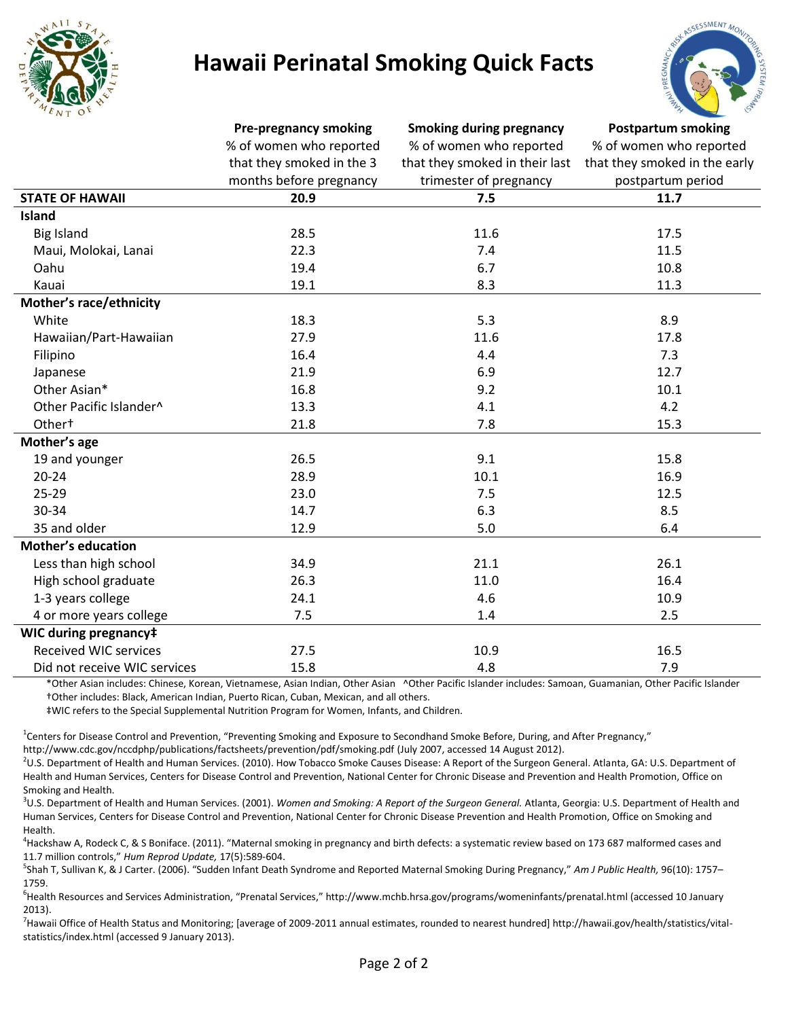

# **Hawaii Perinatal Smoking Quick Facts**



|                              | <b>Pre-pregnancy smoking</b><br>% of women who reported<br>that they smoked in the 3<br>months before pregnancy | <b>Smoking during pregnancy</b><br>% of women who reported<br>that they smoked in their last<br>trimester of pregnancy | <b>Postpartum smoking</b><br>% of women who reported<br>that they smoked in the early<br>postpartum period |
|------------------------------|-----------------------------------------------------------------------------------------------------------------|------------------------------------------------------------------------------------------------------------------------|------------------------------------------------------------------------------------------------------------|
|                              |                                                                                                                 |                                                                                                                        |                                                                                                            |
|                              |                                                                                                                 |                                                                                                                        |                                                                                                            |
|                              |                                                                                                                 |                                                                                                                        |                                                                                                            |
| <b>STATE OF HAWAII</b>       | 20.9                                                                                                            | 7.5                                                                                                                    | 11.7                                                                                                       |
| <b>Island</b>                |                                                                                                                 |                                                                                                                        |                                                                                                            |
| <b>Big Island</b>            | 28.5                                                                                                            | 11.6                                                                                                                   | 17.5                                                                                                       |
| Maui, Molokai, Lanai         | 22.3                                                                                                            | 7.4                                                                                                                    | 11.5                                                                                                       |
| Oahu                         | 19.4                                                                                                            | 6.7                                                                                                                    | 10.8                                                                                                       |
| Kauai                        | 19.1                                                                                                            | 8.3                                                                                                                    | 11.3                                                                                                       |
| Mother's race/ethnicity      |                                                                                                                 |                                                                                                                        |                                                                                                            |
| White                        | 18.3                                                                                                            | 5.3                                                                                                                    | 8.9                                                                                                        |
| Hawaiian/Part-Hawaiian       | 27.9                                                                                                            | 11.6                                                                                                                   | 17.8                                                                                                       |
| Filipino                     | 16.4                                                                                                            | 4.4                                                                                                                    | 7.3                                                                                                        |
| Japanese                     | 21.9                                                                                                            | 6.9                                                                                                                    | 12.7                                                                                                       |
| Other Asian*                 | 16.8                                                                                                            | 9.2                                                                                                                    | 10.1                                                                                                       |
| Other Pacific Islander^      | 13.3                                                                                                            | 4.1                                                                                                                    | 4.2                                                                                                        |
| Other <sup>+</sup>           | 21.8                                                                                                            | 7.8                                                                                                                    | 15.3                                                                                                       |
| Mother's age                 |                                                                                                                 |                                                                                                                        |                                                                                                            |
| 19 and younger               | 26.5                                                                                                            | 9.1                                                                                                                    | 15.8                                                                                                       |
| $20 - 24$                    | 28.9                                                                                                            | 10.1                                                                                                                   | 16.9                                                                                                       |
| 25-29                        | 23.0                                                                                                            | 7.5                                                                                                                    | 12.5                                                                                                       |
| 30-34                        | 14.7                                                                                                            | 6.3                                                                                                                    | 8.5                                                                                                        |
| 35 and older                 | 12.9                                                                                                            | 5.0                                                                                                                    | 6.4                                                                                                        |
| <b>Mother's education</b>    |                                                                                                                 |                                                                                                                        |                                                                                                            |
| Less than high school        | 34.9                                                                                                            | 21.1                                                                                                                   | 26.1                                                                                                       |
| High school graduate         | 26.3                                                                                                            | 11.0                                                                                                                   | 16.4                                                                                                       |
| 1-3 years college            | 24.1                                                                                                            | 4.6                                                                                                                    | 10.9                                                                                                       |
| 4 or more years college      | 7.5                                                                                                             | 1.4                                                                                                                    | 2.5                                                                                                        |
| WIC during pregnancy‡        |                                                                                                                 |                                                                                                                        |                                                                                                            |
| <b>Received WIC services</b> | 27.5                                                                                                            | 10.9                                                                                                                   | 16.5                                                                                                       |
| Did not receive WIC services | 15.8                                                                                                            | 4.8                                                                                                                    | 7.9                                                                                                        |

\*Other Asian includes: Chinese, Korean, Vietnamese, Asian Indian, Other Asian ^Other Pacific Islander includes: Samoan, Guamanian, Other Pacific Islander †Other includes: Black, American Indian, Puerto Rican, Cuban, Mexican, and all others.

‡WIC refers to the Special Supplemental Nutrition Program for Women, Infants, and Children.

<sup>1</sup>Centers for Disease Control and Prevention, "Preventing Smoking and Exposure to Secondhand Smoke Before, During, and After Pregnancy,"

http://www.cdc.gov/nccdphp/publications/factsheets/prevention/pdf/smoking.pdf (July 2007, accessed 14 August 2012).

<sup>2</sup>U.S. Department of Health and Human Services. (2010). How Tobacco Smoke Causes Disease: A Report of the Surgeon General. Atlanta, GA: U.S. Department of Health and Human Services, Centers for Disease Control and Prevention, National Center for Chronic Disease and Prevention and Health Promotion, Office on Smoking and Health.

<sup>3</sup>U.S. Department of Health and Human Services. (2001). *Women and Smoking: A Report of the Surgeon General.* Atlanta, Georgia: U.S. Department of Health and Human Services, Centers for Disease Control and Prevention, National Center for Chronic Disease Prevention and Health Promotion, Office on Smoking and Health.

<sup>4</sup>Hackshaw A, Rodeck C, & S Boniface. (2011). "Maternal smoking in pregnancy and birth defects: a systematic review based on 173 687 malformed cases and 11.7 million controls," *Hum Reprod Update,* 17(5):589-604.

5 Shah T, Sullivan K, & J Carter. (2006). "Sudden Infant Death Syndrome and Reported Maternal Smoking During Pregnancy," *Am J Public Health,* 96(10): 1757– 1759.

<sup>6</sup>Health Resources and Services Administration, "Prenatal Services," http://www.mchb.hrsa.gov/programs/womeninfants/prenatal.html (accessed 10 January 2013).

<sup>7</sup>Hawaii Office of Health Status and Monitoring; [average of 2009-2011 annual estimates, rounded to nearest hundred] http://hawaii.gov/health/statistics/vitalstatistics/index.html (accessed 9 January 2013).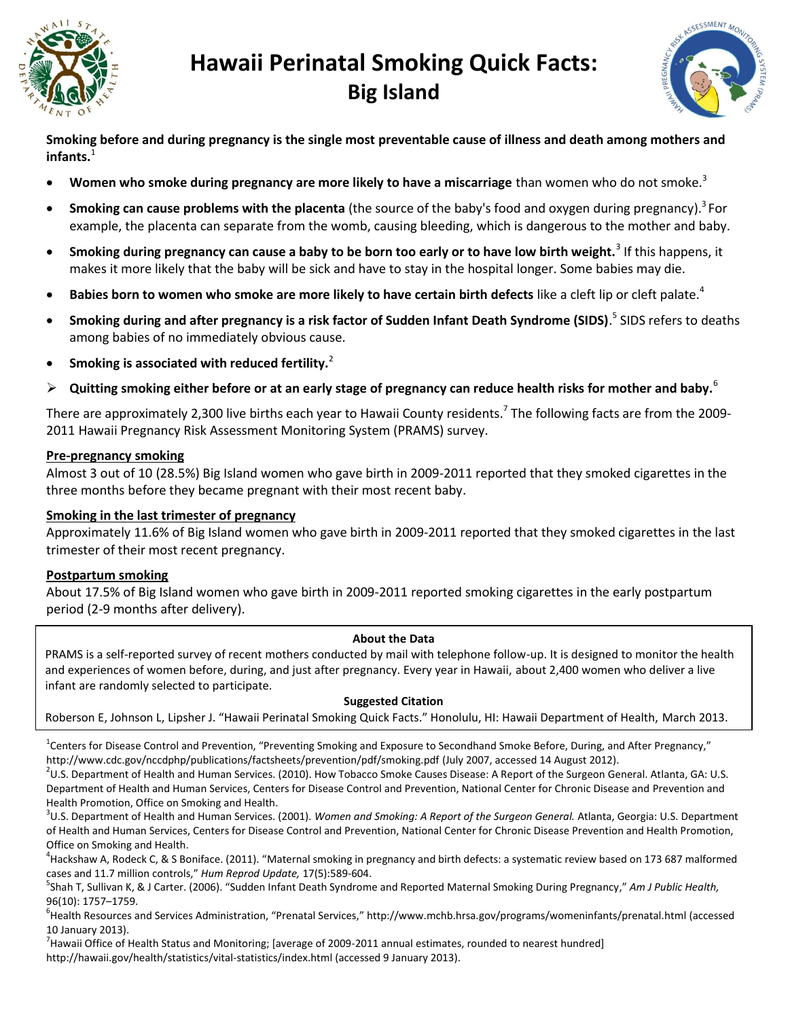

# **Hawaii Perinatal Smoking Quick Facts: Big Island**



**Smoking before and during pregnancy is the single most preventable cause of illness and death among mothers and**  infants.<sup>1</sup>

- **Women who smoke during pregnancy are more likely to have a miscarriage** than women who do not smoke.<sup>3</sup>
- **Smoking can cause problems with the placenta** (the source of the baby's food and oxygen during pregnancy). 3 For example, the placenta can separate from the womb, causing bleeding, which is dangerous to the mother and baby.
- **Smoking during pregnancy can cause a baby to be born too early or to have low birth weight.**<sup>3</sup> If this happens, it makes it more likely that the baby will be sick and have to stay in the hospital longer. Some babies may die.
- **Babies born to women who smoke are more likely to have certain birth defects** like a cleft lip or cleft palate.<sup>4</sup>
- **Smoking during and after pregnancy is a risk factor of Sudden Infant Death Syndrome (SIDS)**. 5 SIDS refers to deaths among babies of no immediately obvious cause.
- **Smoking is associated with reduced fertility.**<sup>2</sup>
- $\triangleright$  Quitting smoking either before or at an early stage of pregnancy can reduce health risks for mother and baby.<sup>6</sup>

There are approximately 2,300 live births each year to Hawaii County residents.<sup>7</sup> The following facts are from the 2009-2011 Hawaii Pregnancy Risk Assessment Monitoring System (PRAMS) survey.

### **Pre-pregnancy smoking**

Almost 3 out of 10 (28.5%) Big Island women who gave birth in 2009-2011 reported that they smoked cigarettes in the three months before they became pregnant with their most recent baby.

## **Smoking in the last trimester of pregnancy**

Approximately 11.6% of Big Island women who gave birth in 2009-2011 reported that they smoked cigarettes in the last trimester of their most recent pregnancy.

# **Postpartum smoking**

About 17.5% of Big Island women who gave birth in 2009-2011 reported smoking cigarettes in the early postpartum period (2-9 months after delivery).

#### **About the Data**

PRAMS is a self-reported survey of recent mothers conducted by mail with telephone follow-up. It is designed to monitor the health and experiences of women before, during, and just after pregnancy. Every year in Hawaii, about 2,400 women who deliver a live infant are randomly selected to participate.

#### **Suggested Citation**

Roberson E, Johnson L, Lipsher J. "Hawaii Perinatal Smoking Quick Facts." Honolulu, HI: Hawaii Department of Health, March 2013.

<sup>1</sup>Centers for Disease Control and Prevention, "Preventing Smoking and Exposure to Secondhand Smoke Before, During, and After Pregnancy," http://www.cdc.gov/nccdphp/publications/factsheets/prevention/pdf/smoking.pdf (July 2007, accessed 14 August 2012).

 $^{2}$ U.S. Department of Health and Human Services. (2010). How Tobacco Smoke Causes Disease: A Report of the Surgeon General. Atlanta, GA: U.S. Department of Health and Human Services, Centers for Disease Control and Prevention, National Center for Chronic Disease and Prevention and Health Promotion, Office on Smoking and Health.

3 U.S. Department of Health and Human Services. (2001). *Women and Smoking: A Report of the Surgeon General.* Atlanta, Georgia: U.S. Department of Health and Human Services, Centers for Disease Control and Prevention, National Center for Chronic Disease Prevention and Health Promotion, Office on Smoking and Health.

<sup>4</sup>Hackshaw A, Rodeck C, & S Boniface. (2011). "Maternal smoking in pregnancy and birth defects: a systematic review based on 173 687 malformed cases and 11.7 million controls," *Hum Reprod Update,* 17(5):589-604.

5 Shah T, Sullivan K, & J Carter. (2006). "Sudden Infant Death Syndrome and Reported Maternal Smoking During Pregnancy," *Am J Public Health,* 96(10): 1757–1759.

<sup>6</sup>Health Resources and Services Administration, "Prenatal Services," http://www.mchb.hrsa.gov/programs/womeninfants/prenatal.html (accessed 10 January 2013).

 $^7$ Hawaii Office of Health Status and Monitoring; [average of 2009-2011 annual estimates, rounded to nearest hundred] http://hawaii.gov/health/statistics/vital-statistics/index.html (accessed 9 January 2013).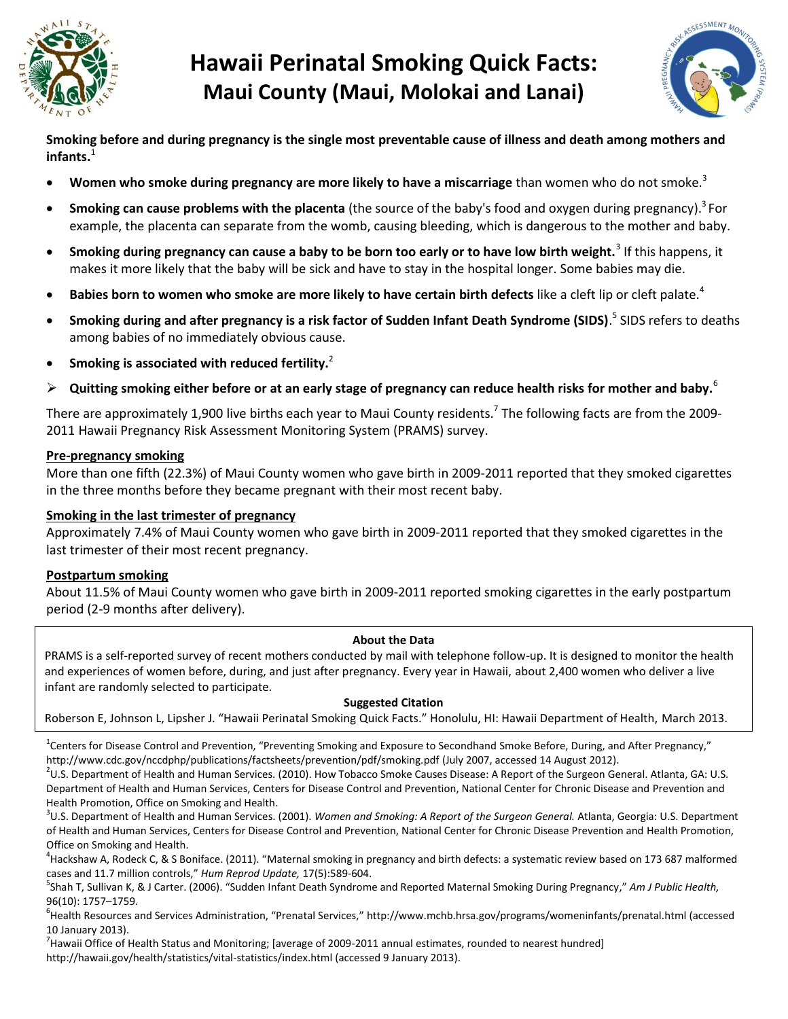

# **Hawaii Perinatal Smoking Quick Facts: Maui County (Maui, Molokai and Lanai)**



**Smoking before and during pregnancy is the single most preventable cause of illness and death among mothers and infants.**<sup>1</sup>

- **Women who smoke during pregnancy are more likely to have a miscarriage** than women who do not smoke.<sup>3</sup>
- **Smoking can cause problems with the placenta** (the source of the baby's food and oxygen during pregnancy). 3 For example, the placenta can separate from the womb, causing bleeding, which is dangerous to the mother and baby.
- **Smoking during pregnancy can cause a baby to be born too early or to have low birth weight.**<sup>3</sup> If this happens, it makes it more likely that the baby will be sick and have to stay in the hospital longer. Some babies may die.
- **Babies born to women who smoke are more likely to have certain birth defects** like a cleft lip or cleft palate.<sup>4</sup>
- **Smoking during and after pregnancy is a risk factor of Sudden Infant Death Syndrome (SIDS)**. 5 SIDS refers to deaths among babies of no immediately obvious cause.
- **Smoking is associated with reduced fertility.**<sup>2</sup>
- $\triangleright$  Quitting smoking either before or at an early stage of pregnancy can reduce health risks for mother and baby.<sup>6</sup>

There are approximately 1,900 live births each year to Maui County residents.<sup>7</sup> The following facts are from the 2009-2011 Hawaii Pregnancy Risk Assessment Monitoring System (PRAMS) survey.

### **Pre-pregnancy smoking**

More than one fifth (22.3%) of Maui County women who gave birth in 2009-2011 reported that they smoked cigarettes in the three months before they became pregnant with their most recent baby.

## **Smoking in the last trimester of pregnancy**

Approximately 7.4% of Maui County women who gave birth in 2009-2011 reported that they smoked cigarettes in the last trimester of their most recent pregnancy.

# **Postpartum smoking**

About 11.5% of Maui County women who gave birth in 2009-2011 reported smoking cigarettes in the early postpartum period (2-9 months after delivery).

#### **About the Data**

PRAMS is a self-reported survey of recent mothers conducted by mail with telephone follow-up. It is designed to monitor the health and experiences of women before, during, and just after pregnancy. Every year in Hawaii, about 2,400 women who deliver a live infant are randomly selected to participate.

#### **Suggested Citation**

Roberson E, Johnson L, Lipsher J. "Hawaii Perinatal Smoking Quick Facts." Honolulu, HI: Hawaii Department of Health, March 2013.

<sup>1</sup>Centers for Disease Control and Prevention, "Preventing Smoking and Exposure to Secondhand Smoke Before, During, and After Pregnancy," http://www.cdc.gov/nccdphp/publications/factsheets/prevention/pdf/smoking.pdf (July 2007, accessed 14 August 2012).

 $^{2}$ U.S. Department of Health and Human Services. (2010). How Tobacco Smoke Causes Disease: A Report of the Surgeon General. Atlanta, GA: U.S. Department of Health and Human Services, Centers for Disease Control and Prevention, National Center for Chronic Disease and Prevention and Health Promotion, Office on Smoking and Health.

3 U.S. Department of Health and Human Services. (2001). *Women and Smoking: A Report of the Surgeon General.* Atlanta, Georgia: U.S. Department of Health and Human Services, Centers for Disease Control and Prevention, National Center for Chronic Disease Prevention and Health Promotion, Office on Smoking and Health.

<sup>4</sup>Hackshaw A, Rodeck C, & S Boniface. (2011). "Maternal smoking in pregnancy and birth defects: a systematic review based on 173 687 malformed cases and 11.7 million controls," *Hum Reprod Update,* 17(5):589-604.

5 Shah T, Sullivan K, & J Carter. (2006). "Sudden Infant Death Syndrome and Reported Maternal Smoking During Pregnancy," *Am J Public Health,* 96(10): 1757–1759.

<sup>6</sup>Health Resources and Services Administration, "Prenatal Services," http://www.mchb.hrsa.gov/programs/womeninfants/prenatal.html (accessed 10 January 2013).

 $^7$ Hawaii Office of Health Status and Monitoring; [average of 2009-2011 annual estimates, rounded to nearest hundred] http://hawaii.gov/health/statistics/vital-statistics/index.html (accessed 9 January 2013).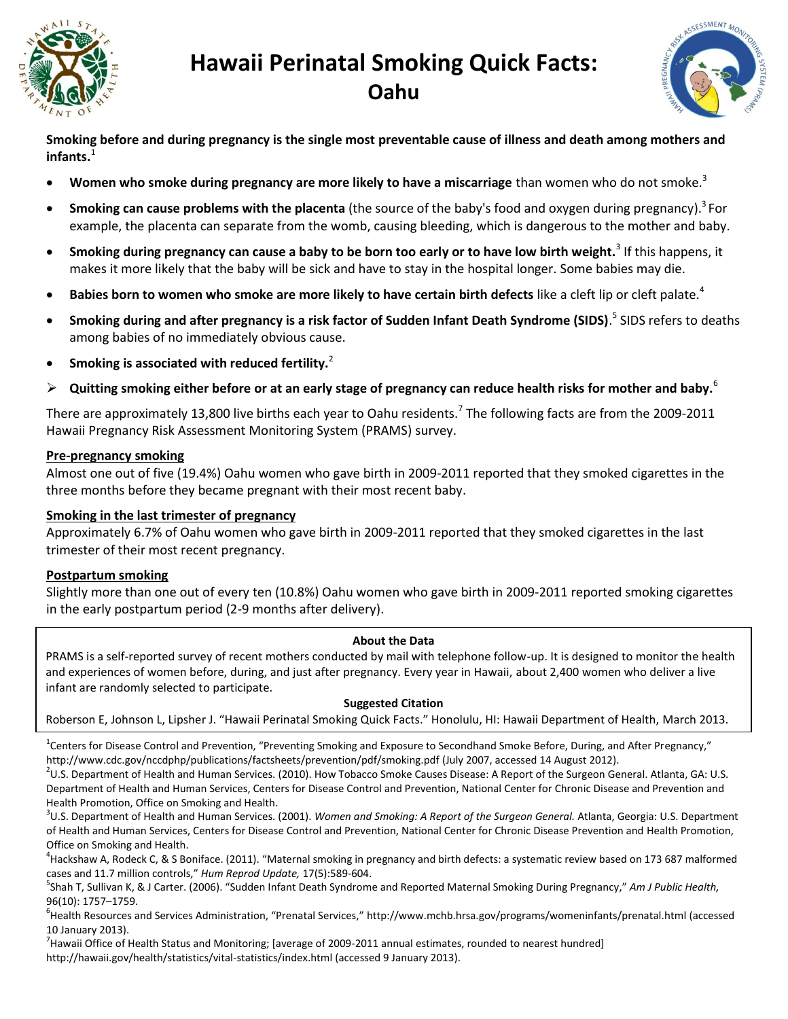

# **Hawaii Perinatal Smoking Quick Facts: Oahu**



**Smoking before and during pregnancy is the single most preventable cause of illness and death among mothers and**  infants.<sup>1</sup>

- **Women who smoke during pregnancy are more likely to have a miscarriage** than women who do not smoke.<sup>3</sup>
- **Smoking can cause problems with the placenta** (the source of the baby's food and oxygen during pregnancy). 3 For example, the placenta can separate from the womb, causing bleeding, which is dangerous to the mother and baby.
- **Smoking during pregnancy can cause a baby to be born too early or to have low birth weight.**<sup>3</sup> If this happens, it makes it more likely that the baby will be sick and have to stay in the hospital longer. Some babies may die.
- **Babies born to women who smoke are more likely to have certain birth defects** like a cleft lip or cleft palate.<sup>4</sup>
- **Smoking during and after pregnancy is a risk factor of Sudden Infant Death Syndrome (SIDS)**. 5 SIDS refers to deaths among babies of no immediately obvious cause.
- **Smoking is associated with reduced fertility.**<sup>2</sup>
- **Quitting smoking either before or at an early stage of pregnancy can reduce health risks for mother and baby.**<sup>6</sup>

There are approximately 13,800 live births each year to Oahu residents.<sup>7</sup> The following facts are from the 2009-2011 Hawaii Pregnancy Risk Assessment Monitoring System (PRAMS) survey.

### **Pre-pregnancy smoking**

Almost one out of five (19.4%) Oahu women who gave birth in 2009-2011 reported that they smoked cigarettes in the three months before they became pregnant with their most recent baby.

## **Smoking in the last trimester of pregnancy**

Approximately 6.7% of Oahu women who gave birth in 2009-2011 reported that they smoked cigarettes in the last trimester of their most recent pregnancy.

# **Postpartum smoking**

Slightly more than one out of every ten (10.8%) Oahu women who gave birth in 2009-2011 reported smoking cigarettes in the early postpartum period (2-9 months after delivery).

#### **About the Data**

PRAMS is a self-reported survey of recent mothers conducted by mail with telephone follow-up. It is designed to monitor the health and experiences of women before, during, and just after pregnancy. Every year in Hawaii, about 2,400 women who deliver a live infant are randomly selected to participate.

#### **Suggested Citation**

Roberson E, Johnson L, Lipsher J. "Hawaii Perinatal Smoking Quick Facts." Honolulu, HI: Hawaii Department of Health, March 2013.

<sup>1</sup>Centers for Disease Control and Prevention, "Preventing Smoking and Exposure to Secondhand Smoke Before, During, and After Pregnancy," http://www.cdc.gov/nccdphp/publications/factsheets/prevention/pdf/smoking.pdf (July 2007, accessed 14 August 2012).

 $^{2}$ U.S. Department of Health and Human Services. (2010). How Tobacco Smoke Causes Disease: A Report of the Surgeon General. Atlanta, GA: U.S. Department of Health and Human Services, Centers for Disease Control and Prevention, National Center for Chronic Disease and Prevention and Health Promotion, Office on Smoking and Health.

3 U.S. Department of Health and Human Services. (2001). *Women and Smoking: A Report of the Surgeon General.* Atlanta, Georgia: U.S. Department of Health and Human Services, Centers for Disease Control and Prevention, National Center for Chronic Disease Prevention and Health Promotion, Office on Smoking and Health.

<sup>4</sup>Hackshaw A, Rodeck C, & S Boniface. (2011). "Maternal smoking in pregnancy and birth defects: a systematic review based on 173 687 malformed cases and 11.7 million controls," *Hum Reprod Update,* 17(5):589-604.

5 Shah T, Sullivan K, & J Carter. (2006). "Sudden Infant Death Syndrome and Reported Maternal Smoking During Pregnancy," *Am J Public Health,* 96(10): 1757–1759.

<sup>6</sup>Health Resources and Services Administration, "Prenatal Services," http://www.mchb.hrsa.gov/programs/womeninfants/prenatal.html (accessed 10 January 2013).

<sup>7</sup> Hawaii Office of Health Status and Monitoring; [average of 2009-2011 annual estimates, rounded to nearest hundred] http://hawaii.gov/health/statistics/vital-statistics/index.html (accessed 9 January 2013).